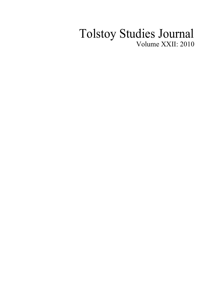## Tolstoy Studies Journal Volume XXII: 2010